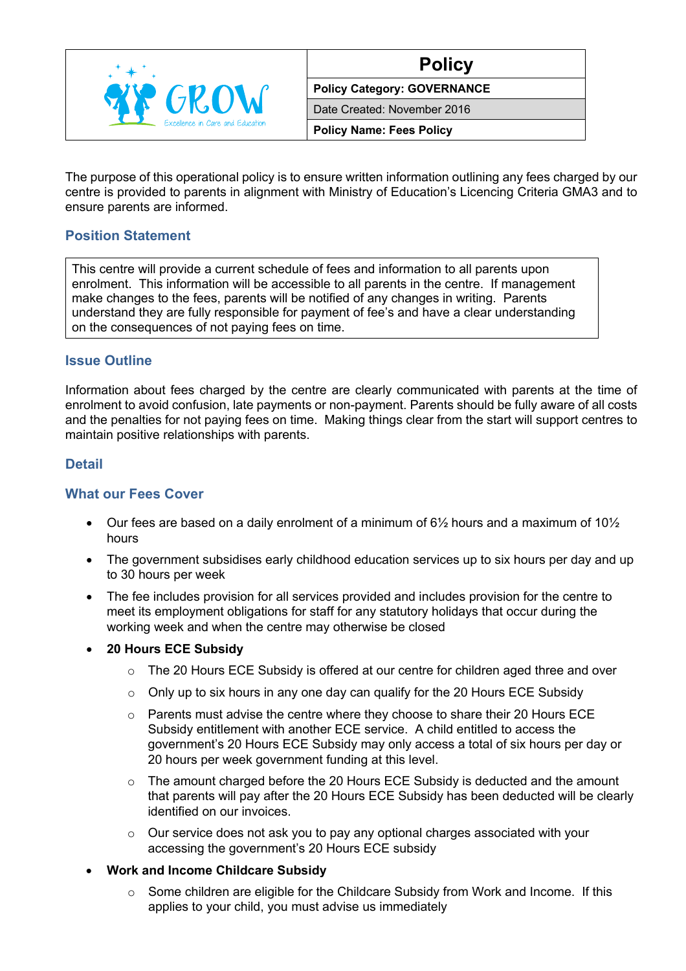

| NIC<br> |
|---------|
|         |

**Policy Category: GOVERNANCE**

Date Created: November 2016

**Policy Name: Fees Policy**

The purpose of this operational policy is to ensure written information outlining any fees charged by our centre is provided to parents in alignment with Ministry of Education's Licencing Criteria GMA3 and to ensure parents are informed.

# **Position Statement**

This centre will provide a current schedule of fees and information to all parents upon enrolment. This information will be accessible to all parents in the centre. If management make changes to the fees, parents will be notified of any changes in writing. Parents understand they are fully responsible for payment of fee's and have a clear understanding on the consequences of not paying fees on time.

## **Issue Outline**

Information about fees charged by the centre are clearly communicated with parents at the time of enrolment to avoid confusion, late payments or non-payment. Parents should be fully aware of all costs and the penalties for not paying fees on time. Making things clear from the start will support centres to maintain positive relationships with parents.

#### **Detail**

## **What our Fees Cover**

- Our fees are based on a daily enrolment of a minimum of  $6\frac{1}{2}$  hours and a maximum of  $10\frac{1}{2}$ hours
- The government subsidises early childhood education services up to six hours per day and up to 30 hours per week
- The fee includes provision for all services provided and includes provision for the centre to meet its employment obligations for staff for any statutory holidays that occur during the working week and when the centre may otherwise be closed
- **20 Hours ECE Subsidy**
	- o The 20 Hours ECE Subsidy is offered at our centre for children aged three and over
	- $\circ$  Only up to six hours in any one day can qualify for the 20 Hours ECE Subsidy
	- $\circ$  Parents must advise the centre where they choose to share their 20 Hours ECE Subsidy entitlement with another ECE service. A child entitled to access the government's 20 Hours ECE Subsidy may only access a total of six hours per day or 20 hours per week government funding at this level.
	- $\circ$  The amount charged before the 20 Hours ECE Subsidy is deducted and the amount that parents will pay after the 20 Hours ECE Subsidy has been deducted will be clearly identified on our invoices.
	- o Our service does not ask you to pay any optional charges associated with your accessing the government's 20 Hours ECE subsidy
- **Work and Income Childcare Subsidy**
	- o Some children are eligible for the Childcare Subsidy from Work and Income. If this applies to your child, you must advise us immediately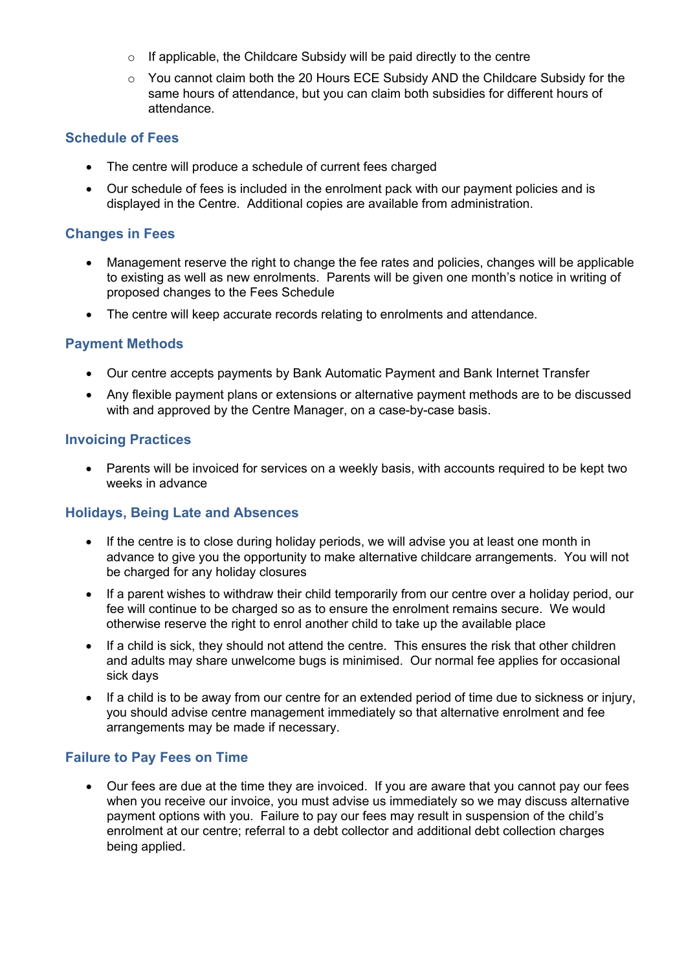- o If applicable, the Childcare Subsidy will be paid directly to the centre
- o You cannot claim both the 20 Hours ECE Subsidy AND the Childcare Subsidy for the same hours of attendance, but you can claim both subsidies for different hours of attendance.

### **Schedule of Fees**

- The centre will produce a schedule of current fees charged
- Our schedule of fees is included in the enrolment pack with our payment policies and is displayed in the Centre. Additional copies are available from administration.

### **Changes in Fees**

- Management reserve the right to change the fee rates and policies, changes will be applicable to existing as well as new enrolments. Parents will be given one month's notice in writing of proposed changes to the Fees Schedule
- The centre will keep accurate records relating to enrolments and attendance.

#### **Payment Methods**

- Our centre accepts payments by Bank Automatic Payment and Bank Internet Transfer
- Any flexible payment plans or extensions or alternative payment methods are to be discussed with and approved by the Centre Manager, on a case-by-case basis.

#### **Invoicing Practices**

• Parents will be invoiced for services on a weekly basis, with accounts required to be kept two weeks in advance

#### **Holidays, Being Late and Absences**

- If the centre is to close during holiday periods, we will advise you at least one month in advance to give you the opportunity to make alternative childcare arrangements. You will not be charged for any holiday closures
- If a parent wishes to withdraw their child temporarily from our centre over a holiday period, our fee will continue to be charged so as to ensure the enrolment remains secure. We would otherwise reserve the right to enrol another child to take up the available place
- If a child is sick, they should not attend the centre. This ensures the risk that other children and adults may share unwelcome bugs is minimised. Our normal fee applies for occasional sick days
- If a child is to be away from our centre for an extended period of time due to sickness or injury, you should advise centre management immediately so that alternative enrolment and fee arrangements may be made if necessary.

## **Failure to Pay Fees on Time**

• Our fees are due at the time they are invoiced. If you are aware that you cannot pay our fees when you receive our invoice, you must advise us immediately so we may discuss alternative payment options with you. Failure to pay our fees may result in suspension of the child's enrolment at our centre; referral to a debt collector and additional debt collection charges being applied.